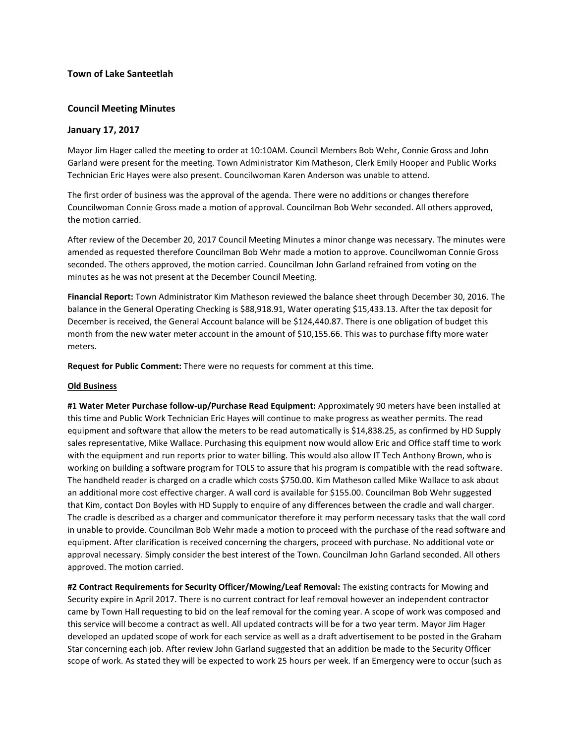## **Town of Lake Santeetlah**

# **Council Meeting Minutes**

## **January 17, 2017**

Mayor Jim Hager called the meeting to order at 10:10AM. Council Members Bob Wehr, Connie Gross and John Garland were present for the meeting. Town Administrator Kim Matheson, Clerk Emily Hooper and Public Works Technician Eric Hayes were also present. Councilwoman Karen Anderson was unable to attend.

The first order of business was the approval of the agenda. There were no additions or changes therefore Councilwoman Connie Gross made a motion of approval. Councilman Bob Wehr seconded. All others approved, the motion carried.

After review of the December 20, 2017 Council Meeting Minutes a minor change was necessary. The minutes were amended as requested therefore Councilman Bob Wehr made a motion to approve. Councilwoman Connie Gross seconded. The others approved, the motion carried. Councilman John Garland refrained from voting on the minutes as he was not present at the December Council Meeting.

**Financial Report:** Town Administrator Kim Matheson reviewed the balance sheet through December 30, 2016. The balance in the General Operating Checking is \$88,918.91, Water operating \$15,433.13. After the tax deposit for December is received, the General Account balance will be \$124,440.87. There is one obligation of budget this month from the new water meter account in the amount of \$10,155.66. This was to purchase fifty more water meters.

**Request for Public Comment:** There were no requests for comment at this time.

## **Old Business**

**#1 Water Meter Purchase follow-up/Purchase Read Equipment:** Approximately 90 meters have been installed at this time and Public Work Technician Eric Hayes will continue to make progress as weather permits. The read equipment and software that allow the meters to be read automatically is \$14,838.25, as confirmed by HD Supply sales representative, Mike Wallace. Purchasing this equipment now would allow Eric and Office staff time to work with the equipment and run reports prior to water billing. This would also allow IT Tech Anthony Brown, who is working on building a software program for TOLS to assure that his program is compatible with the read software. The handheld reader is charged on a cradle which costs \$750.00. Kim Matheson called Mike Wallace to ask about an additional more cost effective charger. A wall cord is available for \$155.00. Councilman Bob Wehr suggested that Kim, contact Don Boyles with HD Supply to enquire of any differences between the cradle and wall charger. The cradle is described as a charger and communicator therefore it may perform necessary tasks that the wall cord in unable to provide. Councilman Bob Wehr made a motion to proceed with the purchase of the read software and equipment. After clarification is received concerning the chargers, proceed with purchase. No additional vote or approval necessary. Simply consider the best interest of the Town. Councilman John Garland seconded. All others approved. The motion carried.

**#2 Contract Requirements for Security Officer/Mowing/Leaf Removal:** The existing contracts for Mowing and Security expire in April 2017. There is no current contract for leaf removal however an independent contractor came by Town Hall requesting to bid on the leaf removal for the coming year. A scope of work was composed and this service will become a contract as well. All updated contracts will be for a two year term. Mayor Jim Hager developed an updated scope of work for each service as well as a draft advertisement to be posted in the Graham Star concerning each job. After review John Garland suggested that an addition be made to the Security Officer scope of work. As stated they will be expected to work 25 hours per week. If an Emergency were to occur (such as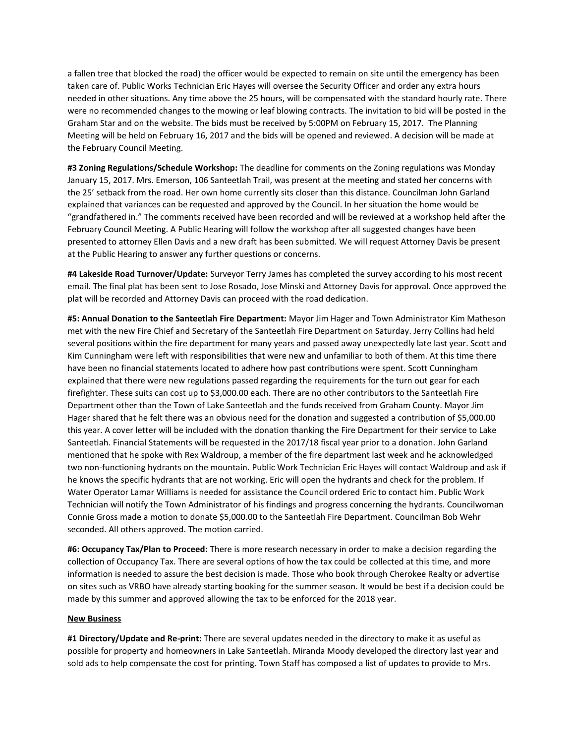a fallen tree that blocked the road) the officer would be expected to remain on site until the emergency has been taken care of. Public Works Technician Eric Hayes will oversee the Security Officer and order any extra hours needed in other situations. Any time above the 25 hours, will be compensated with the standard hourly rate. There were no recommended changes to the mowing or leaf blowing contracts. The invitation to bid will be posted in the Graham Star and on the website. The bids must be received by 5:00PM on February 15, 2017. The Planning Meeting will be held on February 16, 2017 and the bids will be opened and reviewed. A decision will be made at the February Council Meeting.

**#3 Zoning Regulations/Schedule Workshop:** The deadline for comments on the Zoning regulations was Monday January 15, 2017. Mrs. Emerson, 106 Santeetlah Trail, was present at the meeting and stated her concerns with the 25' setback from the road. Her own home currently sits closer than this distance. Councilman John Garland explained that variances can be requested and approved by the Council. In her situation the home would be "grandfathered in." The comments received have been recorded and will be reviewed at a workshop held after the February Council Meeting. A Public Hearing will follow the workshop after all suggested changes have been presented to attorney Ellen Davis and a new draft has been submitted. We will request Attorney Davis be present at the Public Hearing to answer any further questions or concerns.

**#4 Lakeside Road Turnover/Update:** Surveyor Terry James has completed the survey according to his most recent email. The final plat has been sent to Jose Rosado, Jose Minski and Attorney Davis for approval. Once approved the plat will be recorded and Attorney Davis can proceed with the road dedication.

**#5: Annual Donation to the Santeetlah Fire Department:** Mayor Jim Hager and Town Administrator Kim Matheson met with the new Fire Chief and Secretary of the Santeetlah Fire Department on Saturday. Jerry Collins had held several positions within the fire department for many years and passed away unexpectedly late last year. Scott and Kim Cunningham were left with responsibilities that were new and unfamiliar to both of them. At this time there have been no financial statements located to adhere how past contributions were spent. Scott Cunningham explained that there were new regulations passed regarding the requirements for the turn out gear for each firefighter. These suits can cost up to \$3,000.00 each. There are no other contributors to the Santeetlah Fire Department other than the Town of Lake Santeetlah and the funds received from Graham County. Mayor Jim Hager shared that he felt there was an obvious need for the donation and suggested a contribution of \$5,000.00 this year. A cover letter will be included with the donation thanking the Fire Department for their service to Lake Santeetlah. Financial Statements will be requested in the 2017/18 fiscal year prior to a donation. John Garland mentioned that he spoke with Rex Waldroup, a member of the fire department last week and he acknowledged two non-functioning hydrants on the mountain. Public Work Technician Eric Hayes will contact Waldroup and ask if he knows the specific hydrants that are not working. Eric will open the hydrants and check for the problem. If Water Operator Lamar Williams is needed for assistance the Council ordered Eric to contact him. Public Work Technician will notify the Town Administrator of his findings and progress concerning the hydrants. Councilwoman Connie Gross made a motion to donate \$5,000.00 to the Santeetlah Fire Department. Councilman Bob Wehr seconded. All others approved. The motion carried.

**#6: Occupancy Tax/Plan to Proceed:** There is more research necessary in order to make a decision regarding the collection of Occupancy Tax. There are several options of how the tax could be collected at this time, and more information is needed to assure the best decision is made. Those who book through Cherokee Realty or advertise on sites such as VRBO have already starting booking for the summer season. It would be best if a decision could be made by this summer and approved allowing the tax to be enforced for the 2018 year.

#### **New Business**

**#1 Directory/Update and Re-print:** There are several updates needed in the directory to make it as useful as possible for property and homeowners in Lake Santeetlah. Miranda Moody developed the directory last year and sold ads to help compensate the cost for printing. Town Staff has composed a list of updates to provide to Mrs.